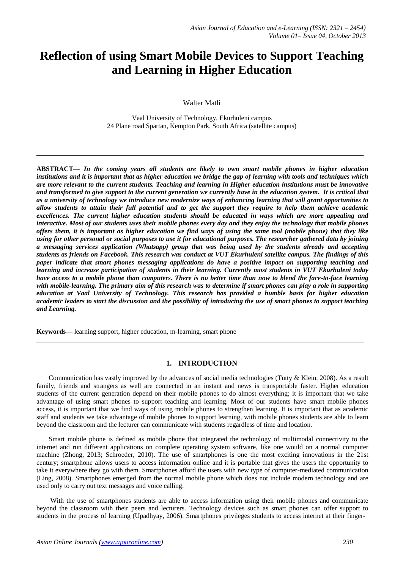# **Reflection of using Smart Mobile Devices to Support Teaching and Learning in Higher Education**

Walter Matli

Vaal University of Technology, Ekurhuleni campus 24 Plane road Spartan, Kempton Park, South Africa (satellite campus)

**ABSTRACT—** *In the coming years all students are likely to own smart mobile phones in higher education*  institutions and it is important that as higher education we bridge the gap of learning with tools and techniques which *are more relevant to the current students. Teaching and learning in Higher education institutions must be innovative and transformed to give support to the current generation we currently have in the education system. It is critical that as a university of technology we introduce new modernize ways of enhancing learning that will grant opportunities to*  allow students to attain their full potential and to get the support they require to help them achieve academic *excellences. The current higher education students should be educated in ways which are more appealing and*  interactive. Most of our students uses their mobile phones every day and they enjoy the technology that mobile phones offers them, it is important as higher education we find ways of using the same tool (mobile phone) that they like *using for other personal or social purposes to use it for educational purposes. The researcher gathered data by joining a messaging services application (Whatsapp) group that was being used by the students already and accepting*  students as friends on Facebook. This research was conduct at VUT Ekurhuleni satellite campus. The findings of this *paper indicate that smart phones messaging applications do have a positive impact on supporting teaching and learning and increase participation of students in their learning. Currently most students in VUT Ekurhuleni today*  have access to a mobile phone than computers. There is no better time than now to blend the face-to-face learning *with mobile-learning. The primary aim of this research was to determine if smart phones can play a role in supporting education at Vaal University of Technology. This research has provided a humble basis for higher education*  academic leaders to start the discussion and the possibility of introducing the use of smart phones to support teaching *and Learning.*

**Keywords—** learning support, higher education, m-learning, smart phone

### **1. INTRODUCTION**

Communication has vastly improved by the advances of social media technologies (Tutty & Klein, 2008). As a result family, friends and strangers as well are connected in an instant and news is transportable faster. Higher education students of the current generation depend on their mobile phones to do almost everything; it is important that we take advantage of using smart phones to support teaching and learning. Most of our students have smart mobile phones access, it is important that we find ways of using mobile phones to strengthen learning. It is important that as academic staff and students we take advantage of mobile phones to support learning, with mobile phones students are able to learn beyond the classroom and the lecturer can communicate with students regardless of time and location.

Smart mobile phone is defined as mobile phone that integrated the technology of multimodal connectivity to the internet and run different applications on complete operating system software, like one would on a normal computer machine (Zhong, 2013; Schroeder, 2010). The use of smartphones is one the most exciting innovations in the 21st century; smartphone allows users to access information online and it is portable that gives the users the opportunity to take it everywhere they go with them. Smartphones afford the users with new type of computer-mediated communication (Ling, 2008). Smartphones emerged from the normal mobile phone which does not include modern technology and are used only to carry out text messages and voice calling.

With the use of smartphones students are able to access information using their mobile phones and communicate beyond the classroom with their peers and lecturers. Technology devices such as smart phones can offer support to students in the process of learning (Upadhyay, 2006). Smartphones privileges students to access internet at their finger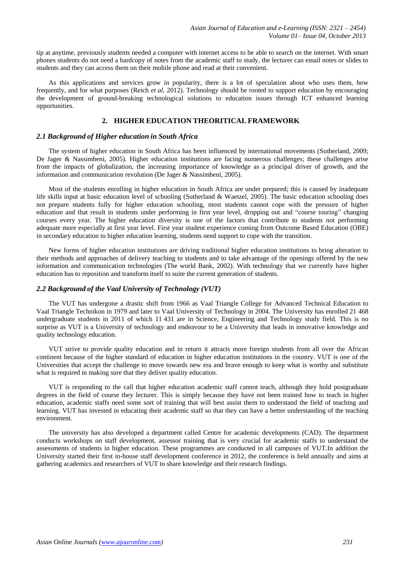tip at anytime, previously students needed a computer with internet access to be able to search on the internet. With smart phones students do not need a hardcopy of notes from the academic staff to study, the lecturer can email notes or slides to students and they can access them on their mobile phone and read at their convenient.

As this applications and services grow in popularity, there is a lot of speculation about who uses them, how frequently, and for what purposes (Reich *et al*, 2012). Technology should be rooted to support education by encouraging the development of ground-breaking technological solutions to education issues through ICT enhanced learning opportunities.

### **2. HIGHER EDUCATION THEORITICAL FRAMEWORK**

### *2.1 Background of Higher education in South Africa*

The system of higher education in South Africa has been influenced by international movements (Sutherland, 2009; De Jager & Nassimbeni, 2005). Higher education institutions are facing numerous challenges; these challenges arise from the impacts of globalization, the increasing importance of knowledge as a principal driver of growth, and the information and communication revolution (De Jager & Nassimbeni, 2005).

Most of the students enrolling in higher education in South Africa are under prepared; this is caused by inadequate life skills input at basic education level of schooling (Sutherland & Waetzel, 2005). The basic education schooling does not prepare students fully for higher education schooling, most students cannot cope with the pressure of higher education and that result in students under performing in first year level, dropping out and "course touring" changing courses every year. The higher education diversity is one of the factors that contribute to students not performing adequate more especially at first year level. First year student experience coming from Outcome Based Education (OBE) in secondary education to higher education learning, students need support to cope with the transition.

New forms of higher education institutions are driving traditional higher education institutions to bring alteration to their methods and approaches of delivery teaching to students and to take advantage of the openings offered by the new information and communication technologies (The world Bank, 2002). With technology that we currently have higher education has to reposition and transform itself to suite the current generation of students.

### *2.2 Background of the Vaal University of Technology (VUT)*

The VUT has undergone a drastic shift from 1966 as Vaal Triangle College for Advanced Technical Education to Vaal Triangle Technikon in 1979 and later to Vaal University of Technology in 2004. The University has enrolled 21 468 undergraduate students in 2011 of which 11 431 are in Science, Engineering and Technology study field. This is no surprise as VUT is a University of technology and endeavour to be a University that leads in innovative knowledge and quality technology education.

VUT strive to provide quality education and in return it attracts more foreign students from all over the African continent because of the higher standard of education in higher education institutions in the country. VUT is one of the Universities that accept the challenge to move towards new era and brave enough to keep what is worthy and substitute what is required in making sure that they deliver quality education.

VUT is responding to the call that higher education academic staff cannot teach, although they hold postgraduate degrees in the field of course they lecturer. This is simply because they have not been trained how to teach in higher education, academic staffs need some sort of training that will best assist them to understand the field of teaching and learning. VUT has invested in educating their academic staff so that they can have a better understanding of the teaching environment.

The university has also developed a department called Centre for academic developments (CAD). The department conducts workshops on staff development, assessor training that is very crucial for academic staffs to understand the assessments of students in higher education. These programmes are conducted in all campuses of VUT.In addition the University started their first in-house staff development conference in 2012, the conference is held annually and aims at gathering academics and researchers of VUT to share knowledge and their research findings.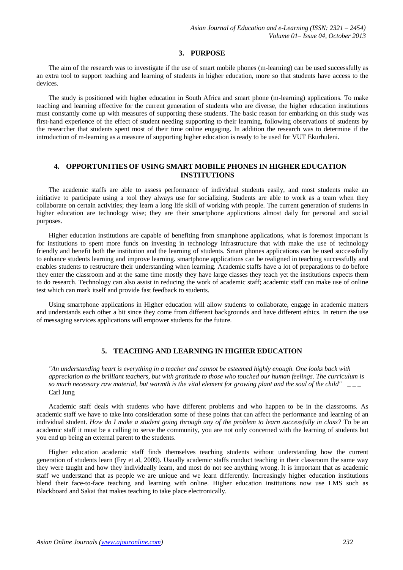# **3. PURPOSE**

The aim of the research was to investigate if the use of smart mobile phones (m-learning) can be used successfully as an extra tool to support teaching and learning of students in higher education, more so that students have access to the devices.

The study is positioned with higher education in South Africa and smart phone (m-learning) applications. To make teaching and learning effective for the current generation of students who are diverse, the higher education institutions must constantly come up with measures of supporting these students. The basic reason for embarking on this study was first-hand experience of the effect of student needing supporting to their learning, following observations of students by the researcher that students spent most of their time online engaging. In addition the research was to determine if the introduction of m-learning as a measure of supporting higher education is ready to be used for VUT Ekurhuleni.

# **4. OPPORTUNITIES OF USING SMART MOBILE PHONES IN HIGHER EDUCATION INSTITUTIONS**

The academic staffs are able to assess performance of individual students easily, and most students make an initiative to participate using a tool they always use for socializing. Students are able to work as a team when they collaborate on certain activities; they learn a long life skill of working with people. The current generation of students in higher education are technology wise; they are their smartphone applications almost daily for personal and social purposes.

Higher education institutions are capable of benefiting from smartphone applications, what is foremost important is for institutions to spent more funds on investing in technology infrastructure that with make the use of technology friendly and benefit both the institution and the learning of students. Smart phones applications can be used successfully to enhance students learning and improve learning. smartphone applications can be realigned in teaching successfully and enables students to restructure their understanding when learning. Academic staffs have a lot of preparations to do before they enter the classroom and at the same time mostly they have large classes they teach yet the institutions expects them to do research. Technology can also assist in reducing the work of academic staff; academic staff can make use of online test which can mark itself and provide fast feedback to students.

Using smartphone applications in Higher education will allow students to collaborate, engage in academic matters and understands each other a bit since they come from different backgrounds and have different ethics. In return the use of messaging services applications will empower students for the future.

# **5. TEACHING AND LEARNING IN HIGHER EDUCATION**

*"An understanding heart is everything in a teacher and cannot be esteemed highly enough. One looks back with appreciation to the brilliant teachers, but with gratitude to those who touched our human feelings. The curriculum is so much necessary raw material, but warmth is the vital element for growing plant and the soul of the child"* \_ \_ \_ Carl Jung

Academic staff deals with students who have different problems and who happen to be in the classrooms. As academic staff we have to take into consideration some of these points that can affect the performance and learning of an individual student. How do I make a student going through any of the problem to learn successfully in class? To be an academic staff it must be a calling to serve the community, you are not only concerned with the learning of students but you end up being an external parent to the students.

Higher education academic staff finds themselves teaching students without understanding how the current generation of students learn (Fry et al, 2009). Usually academic staffs conduct teaching in their classroom the same way they were taught and how they individually learn, and most do not see anything wrong. It is important that as academic staff we understand that as people we are unique and we learn differently. Increasingly higher education institutions blend their face-to-face teaching and learning with online. Higher education institutions now use LMS such as Blackboard and Sakai that makes teaching to take place electronically.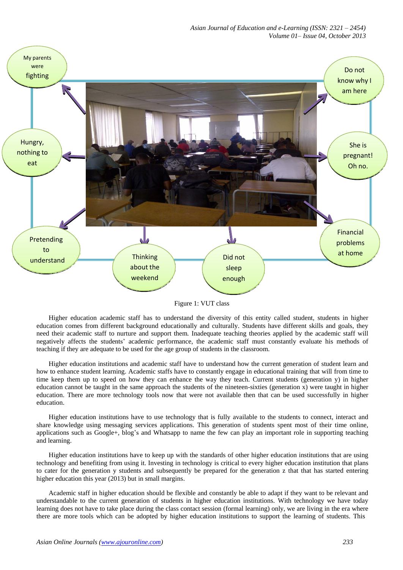

Figure 1: VUT class

Higher education academic staff has to understand the diversity of this entity called student, students in higher education comes from different background educationally and culturally. Students have different skills and goals, they need their academic staff to nurture and support them. Inadequate teaching theories applied by the academic staff will negatively affects the students' academic performance, the academic staff must constantly evaluate his methods of teaching if they are adequate to be used for the age group of students in the classroom.

Higher education institutions and academic staff have to understand how the current generation of student learn and how to enhance student learning. Academic staffs have to constantly engage in educational training that will from time to time keep them up to speed on how they can enhance the way they teach. Current students (generation y) in higher education cannot be taught in the same approach the students of the nineteen-sixties (generation x) were taught in higher education. There are more technology tools now that were not available then that can be used successfully in higher education.

Higher education institutions have to use technology that is fully available to the students to connect, interact and share knowledge using messaging services applications. This generation of students spent most of their time online, applications such as Google+, blog's and Whatsapp to name the few can play an important role in supporting teaching and learning.

Higher education institutions have to keep up with the standards of other higher education institutions that are using technology and benefiting from using it. Investing in technology is critical to every higher education institution that plans to cater for the generation y students and subsequently be prepared for the generation z that that has started entering higher education this year (2013) but in small margins.

Academic staff in higher education should be flexible and constantly be able to adapt if they want to be relevant and understandable to the current generation of students in higher education institutions. With technology we have today learning does not have to take place during the class contact session (formal learning) only, we are living in the era where there are more tools which can be adopted by higher education institutions to support the learning of students. This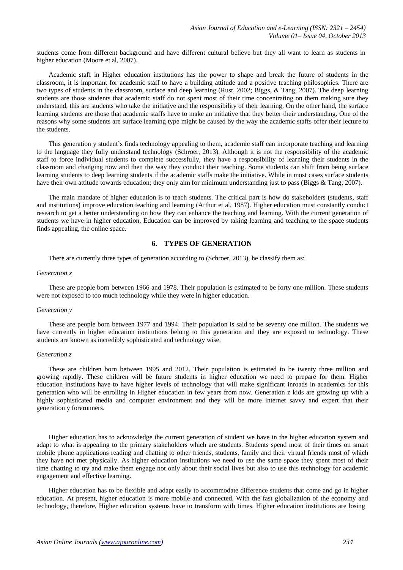students come from different background and have different cultural believe but they all want to learn as students in higher education (Moore et al, 2007).

Academic staff in Higher education institutions has the power to shape and break the future of students in the classroom, it is important for academic staff to have a building attitude and a positive teaching philosophies. There are two types of students in the classroom, surface and deep learning (Rust, 2002; Biggs, & Tang, 2007). The deep learning students are those students that academic staff do not spent most of their time concentrating on them making sure they understand, this are students who take the initiative and the responsibility of their learning. On the other hand, the surface learning students are those that academic staffs have to make an initiative that they better their understanding. One of the reasons why some students are surface learning type might be caused by the way the academic staffs offer their lecture to the students.

This generation y student's finds technology appealing to them, academic staff can incorporate teaching and learning to the language they fully understand technology (Schroer, 2013). Although it is not the responsibility of the academic staff to force individual students to complete successfully, they have a responsibility of learning their students in the classroom and changing now and then the way they conduct their teaching. Some students can shift from being surface learning students to deep learning students if the academic staffs make the initiative. While in most cases surface students have their own attitude towards education; they only aim for minimum understanding just to pass (Biggs & Tang, 2007).

The main mandate of higher education is to teach students. The critical part is how do stakeholders (students, staff and institutions) improve education teaching and learning (Arthur et al, 1987). Higher education must constantly conduct research to get a better understanding on how they can enhance the teaching and learning. With the current generation of students we have in higher education, Education can be improved by taking learning and teaching to the space students finds appealing, the online space.

# **6. TYPES OF GENERATION**

There are currently three types of generation according to (Schroer, 2013), he classify them as:

#### *Generation x*

These are people born between 1966 and 1978. Their population is estimated to be forty one million. These students were not exposed to too much technology while they were in higher education.

#### *Generation y*

These are people born between 1977 and 1994. Their population is said to be seventy one million. The students we have currently in higher education institutions belong to this generation and they are exposed to technology. These students are known as incredibly sophisticated and technology wise.

#### *Generation z*

These are children born between 1995 and 2012. Their population is estimated to be twenty three million and growing rapidly. These children will be future students in higher education we need to prepare for them. Higher education institutions have to have higher levels of technology that will make significant inroads in academics for this generation who will be enrolling in Higher education in few years from now. Generation z kids are growing up with a highly sophisticated media and computer environment and they will be more internet savvy and expert that their generation y forerunners.

Higher education has to acknowledge the current generation of student we have in the higher education system and adapt to what is appealing to the primary stakeholders which are students. Students spend most of their times on smart mobile phone applications reading and chatting to other friends, students, family and their virtual friends most of which they have not met physically. As higher education institutions we need to use the same space they spent most of their time chatting to try and make them engage not only about their social lives but also to use this technology for academic engagement and effective learning.

Higher education has to be flexible and adapt easily to accommodate difference students that come and go in higher education. At present, higher education is more mobile and connected. With the fast globalization of the economy and technology, therefore, Higher education systems have to transform with times. Higher education institutions are losing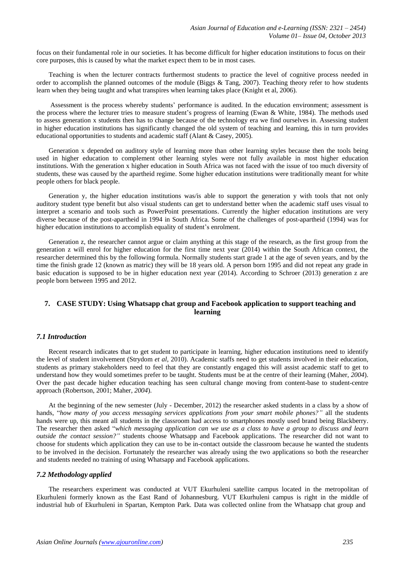focus on their fundamental role in our societies. It has become difficult for higher education institutions to focus on their core purposes, this is caused by what the market expect them to be in most cases.

Teaching is when the lecturer contracts furthermost students to practice the level of cognitive process needed in order to accomplish the planned outcomes of the module (Biggs  $& Tang, 2007$ ). Teaching theory refer to how students learn when they being taught and what transpires when learning takes place (Knight et al, 2006).

Assessment is the process whereby students' performance is audited. In the education environment; assessment is the process where the lecturer tries to measure student's progress of learning (Ewan & White, 1984). The methods used to assess generation x students then has to change because of the technology era we find ourselves in. Assessing student in higher education institutions has significantly changed the old system of teaching and learning, this in turn provides educational opportunities to students and academic staff (Alant & Casey, 2005).

Generation x depended on auditory style of learning more than other learning styles because then the tools being used in higher education to complement other learning styles were not fully available in most higher education institutions. With the generation x higher education in South Africa was not faced with the issue of too much diversity of students, these was caused by the apartheid regime. Some higher education institutions were traditionally meant for white people others for black people.

Generation y, the higher education institutions was/is able to support the generation y with tools that not only auditory student type benefit but also visual students can get to understand better when the academic staff uses visual to interpret a scenario and tools such as PowerPoint presentations. Currently the higher education institutions are very diverse because of the post-apartheid in 1994 in South Africa. Some of the challenges of post-apartheid (1994) was for higher education institutions to accomplish equality of student's enrolment.

Generation z, the researcher cannot argue or claim anything at this stage of the research, as the first group from the generation z will enrol for higher education for the first time next year (2014) within the South African context, the researcher determined this by the following formula. Normally students start grade 1 at the age of seven years, and by the time the finish grade 12 (known as matric) they will be 18 years old. A person born 1995 and did not repeat any grade in basic education is supposed to be in higher education next year (2014). According to Schroer (2013) generation z are people born between 1995 and 2012.

# **7. CASE STUDY: Using Whatsapp chat group and Facebook application to support teaching and learning**

### *7.1 Introduction*

Recent research indicates that to get student to participate in learning, higher education institutions need to identify the level of student involvement (Strydom *et al*, 2010). Academic staffs need to get students involved in their education, students as primary stakeholders need to feel that they are constantly engaged this will assist academic staff to get to understand how they would sometimes prefer to be taught. Students must be at the centre of their learning (Maher, *2004*). Over the past decade higher education teaching has seen cultural change moving from content-base to student-centre approach (Robertson, 2001; Maher, *2004*).

At the beginning of the new semester (July - December, 2012) the researcher asked students in a class by a show of hands, "*how many of you access messaging services applications from your smart mobile phones?"* all the students hands were up, this meant all students in the classroom had access to smartphones mostly used brand being Blackberry. The researcher then asked "*which messaging application can we use as a class to have a group to discuss and learn outside the contact session?"* students choose Whatsapp and Facebook applications. The researcher did not want to choose for students which application they can use to be in-contact outside the classroom because he wanted the students to be involved in the decision. Fortunately the researcher was already using the two applications so both the researcher and students needed no training of using Whatsapp and Facebook applications.

#### *7.2 Methodology applied*

The researchers experiment was conducted at VUT Ekurhuleni satellite campus located in the metropolitan of Ekurhuleni formerly known as the East Rand of Johannesburg. VUT Ekurhuleni campus is right in the middle of industrial hub of Ekurhuleni in Spartan, Kempton Park. Data was collected online from the Whatsapp chat group and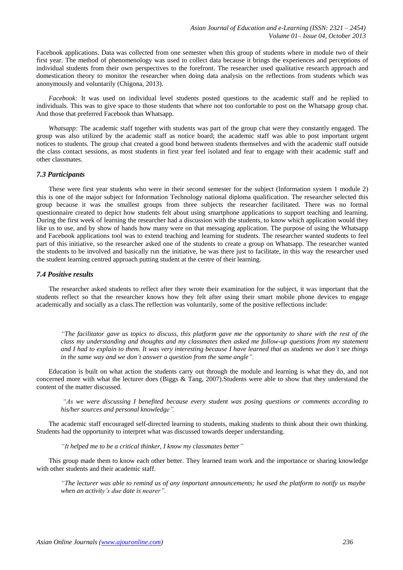Facebook applications. Data was collected from one semester when this group of students where in module two of their first year. The method of phenomenology was used to collect data because it brings the experiences and perceptions of individual students from their own perspectives to the forefront. The researcher used qualitative research approach and domestication theory to monitor the researcher when doing data analysis on the reflections from students which was anonymously and voluntarily (Chigona, 2013).

*Facebook:* It was used on individual level students posted questions to the academic staff and he replied to individuals. This was to give space to those students that where not too confortable to post on the Whatsapp group chat. And those that preferred Facebook than Whatsapp.

*Whatsapp:* The academic staff together with students was part of the group chat were they constantly engaged. The group was also utilized by the academic staff as notice board; the academic staff was able to post important urgent notices to students. The group chat created a good bond between students themselves and with the academic staff outside the class contact sessions, as most students in first year feel isolated and fear to engage with their academic staff and other classmates.

### *7.3 Participants*

These were first year students who were in their second semester for the subject (Information system 1 module 2) this is one of the major subject for Information Technology national diploma qualification. The researcher selected this group because it was the smallest groups from three subjects the researcher facilitated. There was no formal questionnaire created to depict how students felt about using smartphone applications to support teaching and learning. During the first week of learning the researcher had a discussion with the students, to know which application would they like us to use, and by show of hands how many were on that messaging application. The purpose of using the Whatsapp and Facebook applications tool was to extend teaching and learning for students. The researcher wanted students to feel part of this initiative, so the researcher asked one of the students to create a group on Whatsapp. The researcher wanted the students to be involved and basically run the initiative, he was there just to facilitate, in this way the researcher used the student learning centred approach putting student at the centre of their learning.

### *7.4 Positive results*

The researcher asked students to reflect after they wrote their examination for the subject, it was important that the students reflect so that the researcher knows how they felt after using their smart mobile phone devices to engage academically and socially as a class.The reflection was voluntarily, some of the positive reflections include:

"The facilitator gave us topics to discuss, this platform gave me the opportunity to share with the rest of the *class my understanding and thoughts and my classmates then asked me follow-up questions from my statement*  and I had to explain to them. It was very interesting because I have learned that as students we don't see things *in the same way and we don't answer a question from the same angle".*

Education is built on what action the students carry out through the module and learning is what they do, and not concerned more with what the lecturer does (Biggs & Tang, 2007).Students were able to show that they understand the content of the matter discussed.

*"As we were discussing I benefited because every student was posing questions or comments according to his/her sources and personal knowledge".*

The academic staff encouraged self-directed learning to students, making students to think about their own thinking. Students had the opportunity to interpret what was discussed towards deeper understanding.

*"It helped me to be a critical thinker, I know my classmates better"*

This group made them to know each other better. They learned team work and the importance or sharing knowledge with other students and their academic staff.

"The lecturer was able to remind us of any important announcements; he used the platform to notify us maybe *when an activity's due date is nearer".*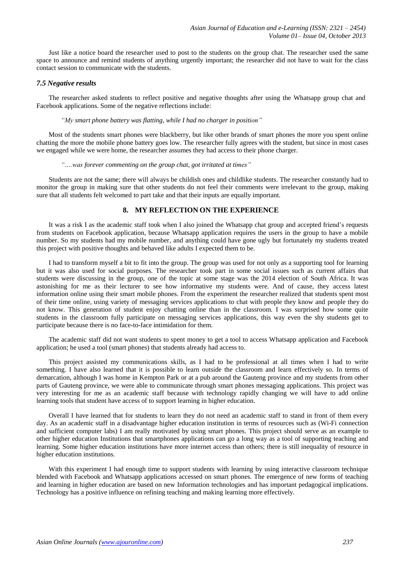Just like a notice board the researcher used to post to the students on the group chat. The researcher used the same space to announce and remind students of anything urgently important; the researcher did not have to wait for the class contact session to communicate with the students.

### *7.5 Negative results*

The researcher asked students to reflect positive and negative thoughts after using the Whatsapp group chat and Facebook applications. Some of the negative reflections include:

#### *"My smart phone battery was flatting, while I had no charger in position"*

Most of the students smart phones were blackberry, but like other brands of smart phones the more you spent online chatting the more the mobile phone battery goes low. The researcher fully agrees with the student, but since in most cases we engaged while we were home, the researcher assumes they had access to their phone charger.

#### *"….was forever commenting on the group chat, got irritated at times"*

Students are not the same; there will always be childish ones and childlike students. The researcher constantly had to monitor the group in making sure that other students do not feel their comments were irrelevant to the group, making sure that all students felt welcomed to part take and that their inputs are equally important.

### **8. MY REFLECTION ON THE EXPERIENCE**

It was a risk I as the academic staff took when I also joined the Whatsapp chat group and accepted friend's requests from students on Facebook application, because Whatsapp application requires the users in the group to have a mobile number. So my students had my mobile number, and anything could have gone ugly but fortunately my students treated this project with positive thoughts and behaved like adults I expected them to be.

I had to transform myself a bit to fit into the group. The group was used for not only as a supporting tool for learning but it was also used for social purposes. The researcher took part in some social issues such as current affairs that students were discussing in the group, one of the topic at some stage was the 2014 election of South Africa. It was astonishing for me as their lecturer to see how informative my students were. And of cause, they access latest information online using their smart mobile phones. From the experiment the researcher realized that students spent most of their time online, using variety of messaging services applications to chat with people they know and people they do not know. This generation of student enjoy chatting online than in the classroom. I was surprised how some quite students in the classroom fully participate on messaging services applications, this way even the shy students get to participate because there is no face-to-face intimidation for them.

The academic staff did not want students to spent money to get a tool to access Whatsapp application and Facebook application; he used a tool (smart phones) that students already had access to.

This project assisted my communications skills, as I had to be professional at all times when I had to write something. I have also learned that it is possible to learn outside the classroom and learn effectively so. In terms of demarcation, although I was home in Kempton Park or at a pub around the Gauteng province and my students from other parts of Gauteng province, we were able to communicate through smart phones messaging applications. This project was very interesting for me as an academic staff because with technology rapidly changing we will have to add online learning tools that student have access of to support learning in higher education.

Overall I have learned that for students to learn they do not need an academic staff to stand in front of them every day. As an academic staff in a disadvantage higher education institution in terms of resources such as (Wi-Fi connection and sufficient computer labs) I am really motivated by using smart phones. This project should serve as an example to other higher education Institutions that smartphones applications can go a long way as a tool of supporting teaching and learning. Some higher education institutions have more internet access than others; there is still inequality of resource in higher education institutions.

With this experiment I had enough time to support students with learning by using interactive classroom technique blended with Facebook and Whatsapp applications accessed on smart phones. The emergence of new forms of teaching and learning in higher education are based on new Information technologies and has important pedagogical implications. Technology has a positive influence on refining teaching and making learning more effectively.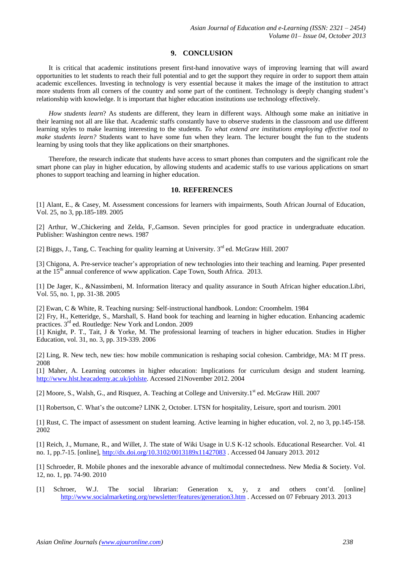# **9. CONCLUSION**

It is critical that academic institutions present first-hand innovative ways of improving learning that will award opportunities to let students to reach their full potential and to get the support they require in order to support them attain academic excellences. Investing in technology is very essential because it makes the image of the institution to attract more students from all corners of the country and some part of the continent. Technology is deeply changing student's relationship with knowledge. It is important that higher education institutions use technology effectively.

*How students learn*? As students are different, they learn in different ways. Although some make an initiative in their learning not all are like that. Academic staffs constantly have to observe students in the classroom and use different learning styles to make learning interesting to the students. *To what extend are institutions employing effective tool to make students learn?* Students want to have some fun when they learn. The lecturer bought the fun to the students learning by using tools that they like applications on their smartphones.

Therefore, the research indicate that students have access to smart phones than computers and the significant role the smart phone can play in higher education, by allowing students and academic staffs to use various applications on smart phones to support teaching and learning in higher education.

### **10. REFERENCES**

[1] Alant, E., & Casey, M. Assessment concessions for learners with impairments, South African Journal of Education, Vol. 25, no 3, pp.185-189. 2005

[2] Arthur, W.,Chickering and Zelda, F,.Gamson. Seven principles for good practice in undergraduate education. Publisher: Washington centre news. 1987

[2] Biggs, J., Tang, C. Teaching for quality learning at University. 3<sup>rd</sup> ed. McGraw Hill. 2007

[3] Chigona, A. Pre-service teacher's appropriation of new technologies into their teaching and learning. Paper presented at the 15<sup>th</sup> annual conference of www application. Cape Town, South Africa. 2013.

[1] De Jager, K., &Nassimbeni, M. Information literacy and quality assurance in South African higher education.Libri, Vol. 55, no. 1, pp. 31-38. 2005

[2] Ewan, C & White, R. Teaching nursing: Self-instructional handbook. London: Croomhelm. 1984

[2] Fry, H., Ketteridge, S., Marshall, S. Hand book for teaching and learning in higher education. Enhancing academic practices. 3<sup>rd</sup> ed. Routledge: New York and London. 2009

[1] Knight, P. T., Tait, J & Yorke, M. The professional learning of teachers in higher education. Studies in Higher Education, vol. 31, no. 3, pp. 319-339. 2006

[2] Ling, R. New tech, new ties: how mobile communication is reshaping social cohesion. Cambridge, MA: M IT press. 2008

[1] Maher, A. Learning outcomes in higher education: Implications for curriculum design and student learning. [http://www.hlst.heacademy.ac.uk/johlste.](http://www.hlst.heacademy.ac.uk/johlste%20accessed%2021November%202012) Accessed 21November 2012. 2004

[2] Moore, S., Walsh, G., and Risquez, A. Teaching at College and University.1<sup>st</sup> ed. McGraw Hill. 2007

[1] Robertson, C. What's the outcome? LINK 2, October. LTSN for hospitality, Leisure, sport and tourism. 2001

[1] Rust, C. The impact of assessment on student learning. Active learning in higher education, vol. 2, no 3, pp.145-158. 2002

[1] Reich, J., Murnane, R., and Willet, J. The state of Wiki Usage in U.S K-12 schools. Educational Researcher. Vol. 41 no. 1, pp.7-15. [online],<http://dx.doi.org/10.3102/0013189x11427083> . Accessed 04 January 2013. 2012

[1] Schroeder, R. Mobile phones and the inexorable advance of multimodal connectedness. New Media & Society. Vol. 12, no. 1, pp. 74-90. 2010

[1] Schroer, W.J. The social librarian: Generation x, y, z and others cont'd. [online] <http://www.socialmarketing.org/newsletter/features/generation3.htm> . Accessed on 07 February 2013. 2013